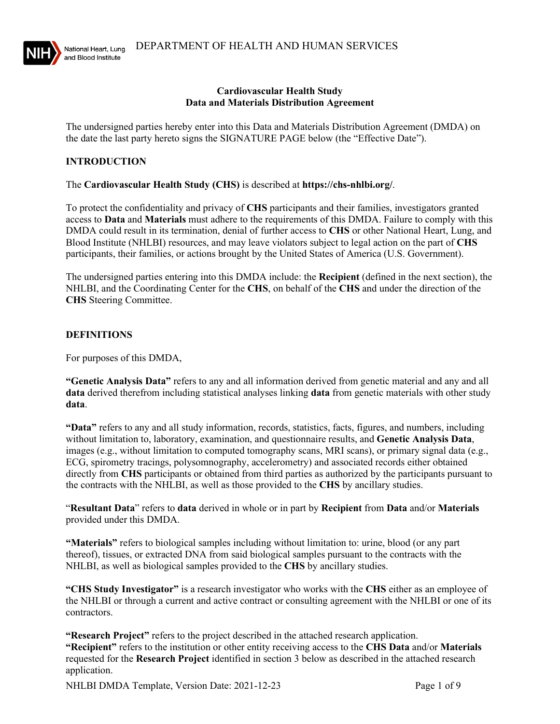

#### **Cardiovascular Health Study Data and Materials Distribution Agreement**

The undersigned parties hereby enter into this Data and Materials Distribution Agreement (DMDA) on the date the last party hereto signs the SIGNATURE PAGE below (the "Effective Date").

### **INTRODUCTION**

The **Cardiovascular Health Study (CHS)** is described at **https://chs-nhlbi.org/**.

To protect the confidentiality and privacy of **CHS** participants and their families, investigators granted access to **Data** and **Materials** must adhere to the requirements of this DMDA. Failure to comply with this DMDA could result in its termination, denial of further access to **CHS** or other National Heart, Lung, and Blood Institute (NHLBI) resources, and may leave violators subject to legal action on the part of **CHS** participants, their families, or actions brought by the United States of America (U.S. Government).

The undersigned parties entering into this DMDA include: the **Recipient** (defined in the next section), the NHLBI, and the Coordinating Center for the **CHS**, on behalf of the **CHS** and under the direction of the **CHS** Steering Committee.

### **DEFINITIONS**

For purposes of this DMDA,

**"Genetic Analysis Data"** refers to any and all information derived from genetic material and any and all **data** derived therefrom including statistical analyses linking **data** from genetic materials with other study **data**.

**"Data"** refers to any and all study information, records, statistics, facts, figures, and numbers, including without limitation to, laboratory, examination, and questionnaire results, and **Genetic Analysis Data**, images (e.g., without limitation to computed tomography scans, MRI scans), or primary signal data (e.g., ECG, spirometry tracings, polysomnography, accelerometry) and associated records either obtained directly from **CHS** participants or obtained from third parties as authorized by the participants pursuant to the contracts with the NHLBI, as well as those provided to the **CHS** by ancillary studies.

"**Resultant Data**" refers to **data** derived in whole or in part by **Recipient** from **Data** and/or **Materials** provided under this DMDA.

**"Materials"** refers to biological samples including without limitation to: urine, blood (or any part thereof), tissues, or extracted DNA from said biological samples pursuant to the contracts with the NHLBI, as well as biological samples provided to the **CHS** by ancillary studies.

**"CHS Study Investigator"** is a research investigator who works with the **CHS** either as an employee of the NHLBI or through a current and active contract or consulting agreement with the NHLBI or one of its contractors.

**"Research Project"** refers to the project described in the attached research application. **"Recipient"** refers to the institution or other entity receiving access to the **CHS Data** and/or **Materials** requested for the **Research Project** identified in section 3 below as described in the attached research application.

NHLBI DMDA Template, Version Date: 2021-12-23 Page 1 of 9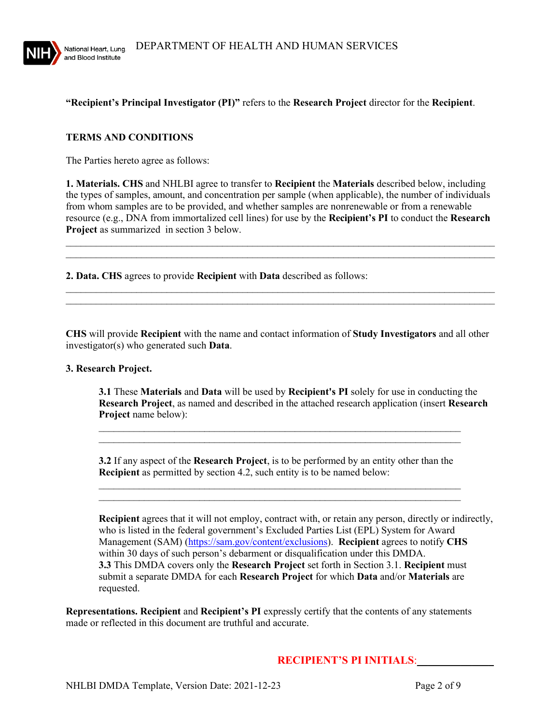

## **"Recipient's Principal Investigator (PI)"** refers to the **Research Project** director for the **Recipient**.

### **TERMS AND CONDITIONS**

The Parties hereto agree as follows:

**1. Materials. CHS** and NHLBI agree to transfer to **Recipient** the **Materials** described below, including the types of samples, amount, and concentration per sample (when applicable), the number of individuals from whom samples are to be provided, and whether samples are nonrenewable or from a renewable resource (e.g., DNA from immortalized cell lines) for use by the **Recipient's PI** to conduct the **Research Project** as summarized in section 3 below.

 $\mathcal{L}_\text{max}$  and  $\mathcal{L}_\text{max}$  and  $\mathcal{L}_\text{max}$  and  $\mathcal{L}_\text{max}$  and  $\mathcal{L}_\text{max}$  and  $\mathcal{L}_\text{max}$ \_\_\_\_\_\_\_\_\_\_\_\_\_\_\_\_\_\_\_\_\_\_\_\_\_\_\_\_\_\_\_\_\_\_\_\_\_\_\_\_\_\_\_\_\_\_\_\_\_\_\_\_\_\_\_\_\_\_\_\_\_\_\_\_\_\_\_\_\_\_\_\_\_\_\_\_\_\_\_\_\_\_\_\_\_

 $\mathcal{L}_\text{max}$  and  $\mathcal{L}_\text{max}$  and  $\mathcal{L}_\text{max}$  and  $\mathcal{L}_\text{max}$  and  $\mathcal{L}_\text{max}$  and  $\mathcal{L}_\text{max}$  $\mathcal{L}_\text{max}$  , and the contribution of the contribution of the contribution of the contribution of the contribution of the contribution of the contribution of the contribution of the contribution of the contribution of t

**2. Data. CHS** agrees to provide **Recipient** with **Data** described as follows:

**CHS** will provide **Recipient** with the name and contact information of **Study Investigators** and all other investigator(s) who generated such **Data**.

### **3. Research Project.**

**3.1** These **Materials** and **Data** will be used by **Recipient's PI** solely for use in conducting the **Research Project**, as named and described in the attached research application (insert **Research Project** name below):

**3.2** If any aspect of the **Research Project**, is to be performed by an entity other than the **Recipient** as permitted by section 4.2, such entity is to be named below:

 $\mathcal{L}_\text{max}$  and  $\mathcal{L}_\text{max}$  and  $\mathcal{L}_\text{max}$  and  $\mathcal{L}_\text{max}$  and  $\mathcal{L}_\text{max}$  and  $\mathcal{L}_\text{max}$ \_\_\_\_\_\_\_\_\_\_\_\_\_\_\_\_\_\_\_\_\_\_\_\_\_\_\_\_\_\_\_\_\_\_\_\_\_\_\_\_\_\_\_\_\_\_\_\_\_\_\_\_\_\_\_\_\_\_\_\_\_\_\_\_\_\_\_\_\_\_\_\_

 $\mathcal{L}_\text{max}$  , and the contract of the contract of the contract of the contract of the contract of the contract of  $\mathcal{L}_\text{max}$  , and the contract of the contract of the contract of the contract of the contract of the contract of

**Recipient** agrees that it will not employ, contract with, or retain any person, directly or indirectly, who is listed in the federal government's Excluded Parties List (EPL) System for Award Management (SAM) [\(https://sam.gov/content/exclusions\)](https://sam.gov/content/exclusions). **Recipient** agrees to notify **CHS** within 30 days of such person's debarment or disqualification under this DMDA. **3.3** This DMDA covers only the **Research Project** set forth in Section 3.1. **Recipient** must submit a separate DMDA for each **Research Project** for which **Data** and/or **Materials** are requested.

**Representations. Recipient** and **Recipient's PI** expressly certify that the contents of any statements made or reflected in this document are truthful and accurate.

## **RECIPIENT'S PI INITIALS**:\_\_\_\_\_\_\_\_\_\_\_\_\_\_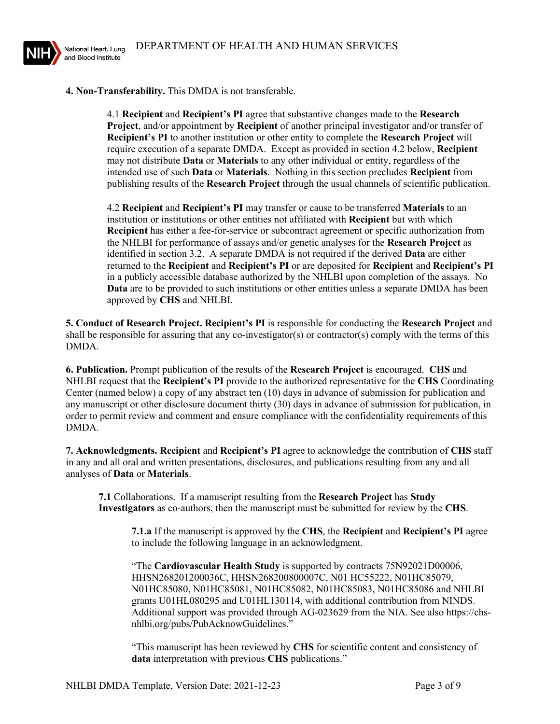

**4. Non-Transferability.** This DMDA is not transferable.

4.1 **Recipient** and **Recipient's PI** agree that substantive changes made to the **Research Project**, and/or appointment by **Recipient** of another principal investigator and/or transfer of **Recipient's PI** to another institution or other entity to complete the **Research Project** will require execution of a separate DMDA. Except as provided in section 4.2 below, **Recipient** may not distribute **Data** or **Materials** to any other individual or entity, regardless of the intended use of such **Data** or **Materials**. Nothing in this section precludes **Recipient** from publishing results of the **Research Project** through the usual channels of scientific publication.

4.2 **Recipient** and **Recipient's PI** may transfer or cause to be transferred **Materials** to an institution or institutions or other entities not affiliated with **Recipient** but with which **Recipient** has either a fee-for-service or subcontract agreement or specific authorization from the NHLBI for performance of assays and/or genetic analyses for the **Research Project** as identified in section 3.2. A separate DMDA is not required if the derived **Data** are either returned to the **Recipient** and **Recipient's PI** or are deposited for **Recipient** and **Recipient's PI** in a publicly accessible database authorized by the NHLBI upon completion of the assays. No **Data** are to be provided to such institutions or other entities unless a separate DMDA has been approved by **CHS** and NHLBI.

**5. Conduct of Research Project. Recipient's PI** is responsible for conducting the **Research Project** and shall be responsible for assuring that any co-investigator(s) or contractor(s) comply with the terms of this DMDA.

**6. Publication.** Prompt publication of the results of the **Research Project** is encouraged. **CHS** and NHLBI request that the **Recipient's PI** provide to the authorized representative for the **CHS** Coordinating Center (named below) a copy of any abstract ten (10) days in advance of submission for publication and any manuscript or other disclosure document thirty (30) days in advance of submission for publication, in order to permit review and comment and ensure compliance with the confidentiality requirements of this DMDA.

**7. Acknowledgments. Recipient** and **Recipient's PI** agree to acknowledge the contribution of **CHS** staff in any and all oral and written presentations, disclosures, and publications resulting from any and all analyses of **Data** or **Materials**.

**7.1** Collaborations. If a manuscript resulting from the **Research Project** has **Study Investigators** as co-authors, then the manuscript must be submitted for review by the **CHS**.

**7.1.a** If the manuscript is approved by the **CHS**, the **Recipient** and **Recipient's PI** agree to include the following language in an acknowledgment.

"The **Cardiovascular Health Study** is supported by contracts 75N92021D00006, HHSN268201200036C, HHSN268200800007C, N01 HC55222, N01HC85079, N01HC85080, N01HC85081, N01HC85082, N01HC85083, N01HC85086 and NHLBI grants U01HL080295 and U01HL130114, with additional contribution from NINDS. Additional support was provided through AG-023629 from the NIA. See also https://chsnhlbi.org/pubs/PubAcknowGuidelines."

"This manuscript has been reviewed by **CHS** for scientific content and consistency of **data** interpretation with previous **CHS** publications."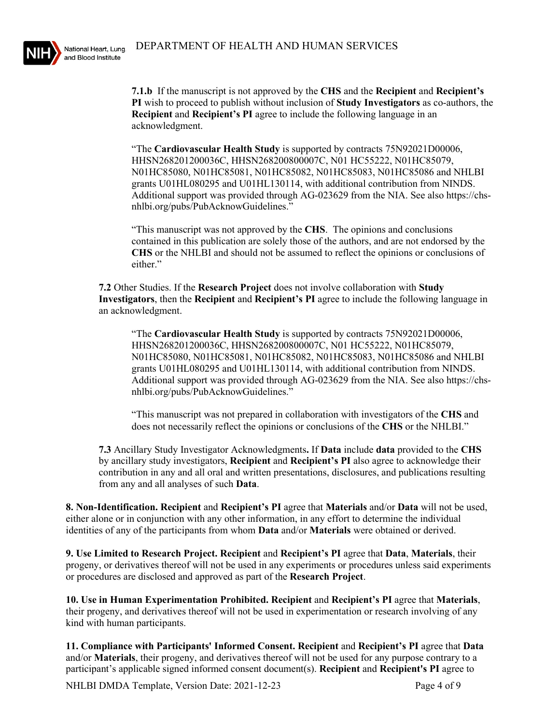

**7.1.b** If the manuscript is not approved by the **CHS** and the **Recipient** and **Recipient's PI** wish to proceed to publish without inclusion of **Study Investigators** as co-authors, the **Recipient** and **Recipient's PI** agree to include the following language in an acknowledgment.

"The **Cardiovascular Health Study** is supported by contracts 75N92021D00006, HHSN268201200036C, HHSN268200800007C, N01 HC55222, N01HC85079, N01HC85080, N01HC85081, N01HC85082, N01HC85083, N01HC85086 and NHLBI grants U01HL080295 and U01HL130114, with additional contribution from NINDS. Additional support was provided through AG-023629 from the NIA. See also https://chsnhlbi.org/pubs/PubAcknowGuidelines."

"This manuscript was not approved by the **CHS**. The opinions and conclusions contained in this publication are solely those of the authors, and are not endorsed by the **CHS** or the NHLBI and should not be assumed to reflect the opinions or conclusions of either."

**7.2** Other Studies. If the **Research Project** does not involve collaboration with **Study Investigators**, then the **Recipient** and **Recipient's PI** agree to include the following language in an acknowledgment.

"The **Cardiovascular Health Study** is supported by contracts 75N92021D00006, HHSN268201200036C, HHSN268200800007C, N01 HC55222, N01HC85079, N01HC85080, N01HC85081, N01HC85082, N01HC85083, N01HC85086 and NHLBI grants U01HL080295 and U01HL130114, with additional contribution from NINDS. Additional support was provided through AG-023629 from the NIA. See also https://chsnhlbi.org/pubs/PubAcknowGuidelines."

"This manuscript was not prepared in collaboration with investigators of the **CHS** and does not necessarily reflect the opinions or conclusions of the **CHS** or the NHLBI."

**7.3** Ancillary Study Investigator Acknowledgments**.** If **Data** include **data** provided to the **CHS** by ancillary study investigators, **Recipient** and **Recipient's PI** also agree to acknowledge their contribution in any and all oral and written presentations, disclosures, and publications resulting from any and all analyses of such **Data**.

**8. Non-Identification. Recipient** and **Recipient's PI** agree that **Materials** and/or **Data** will not be used, either alone or in conjunction with any other information, in any effort to determine the individual identities of any of the participants from whom **Data** and/or **Materials** were obtained or derived.

**9. Use Limited to Research Project. Recipient** and **Recipient's PI** agree that **Data**, **Materials**, their progeny, or derivatives thereof will not be used in any experiments or procedures unless said experiments or procedures are disclosed and approved as part of the **Research Project**.

**10. Use in Human Experimentation Prohibited. Recipient** and **Recipient's PI** agree that **Materials**, their progeny, and derivatives thereof will not be used in experimentation or research involving of any kind with human participants.

**11. Compliance with Participants' Informed Consent. Recipient** and **Recipient's PI** agree that **Data** and/or **Materials**, their progeny, and derivatives thereof will not be used for any purpose contrary to a participant's applicable signed informed consent document(s). **Recipient** and **Recipient's PI** agree to

NHLBI DMDA Template, Version Date: 2021-12-23 Page 4 of 9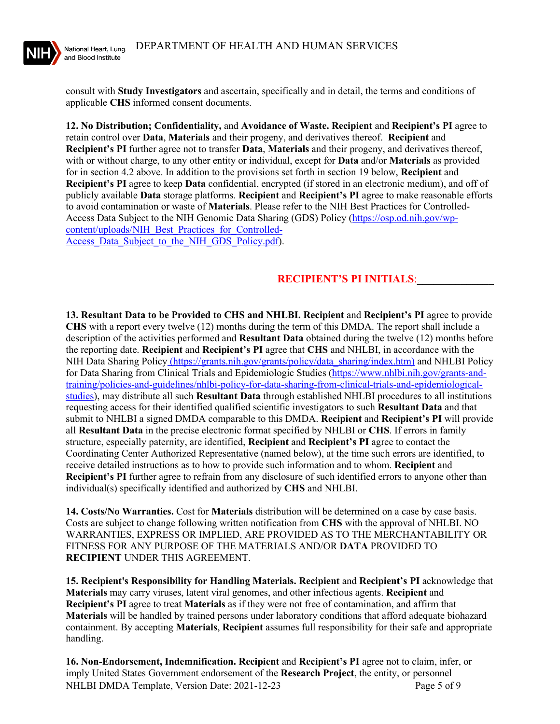

consult with **Study Investigators** and ascertain, specifically and in detail, the terms and conditions of applicable **CHS** informed consent documents.

**12. No Distribution; Confidentiality,** and **Avoidance of Waste. Recipient** and **Recipient's PI** agree to retain control over **Data**, **Materials** and their progeny, and derivatives thereof. **Recipient** and **Recipient's PI** further agree not to transfer **Data**, **Materials** and their progeny, and derivatives thereof, with or without charge, to any other entity or individual, except for **Data** and/or **Materials** as provided for in section 4.2 above. In addition to the provisions set forth in section 19 below, **Recipient** and **Recipient's PI** agree to keep **Data** confidential, encrypted (if stored in an electronic medium), and off of publicly available **Data** storage platforms. **Recipient** and **Recipient's PI** agree to make reasonable efforts to avoid contamination or waste of **Materials**. Please refer to the NIH Best Practices for Controlled-Access Data Subject to the NIH Genomic Data Sharing (GDS) Policy [\(https://osp.od.nih.gov/wp](https://osp.od.nih.gov/wp-content/uploads/NIH_Best_Practices_for_Controlled-Access_Data_Subject_to_the_NIH_GDS_Policy.pdf)[content/uploads/NIH\\_Best\\_Practices\\_for\\_Controlled-](https://osp.od.nih.gov/wp-content/uploads/NIH_Best_Practices_for_Controlled-Access_Data_Subject_to_the_NIH_GDS_Policy.pdf)Access Data Subject to the NIH GDS Policy.pdf).

# **RECIPIENT'S PI INITIALS**:\_\_\_\_\_\_\_\_\_\_\_\_\_\_

**13. Resultant Data to be Provided to CHS and NHLBI. Recipient** and **Recipient's PI** agree to provide **CHS** with a report every twelve (12) months during the term of this DMDA. The report shall include a description of the activities performed and **Resultant Data** obtained during the twelve (12) months before the reporting date. **Recipient** and **Recipient's PI** agree that **CHS** and NHLBI, in accordance with the NIH Data Sharing Policy (https://grants.nih.gov/grants/policy/data\_sharing/index.htm) and NHLBI Policy for Data Sharing from Clinical Trials and Epidemiologic Studies [\(https://www.nhlbi.nih.gov/grants-and](https://www.nhlbi.nih.gov/grants-and-training/policies-and-guidelines/nhlbi-policy-for-data-sharing-from-clinical-trials-and-epidemiological-studies)[training/policies-and-guidelines/nhlbi-policy-for-data-sharing-from-clinical-trials-and-epidemiological](https://www.nhlbi.nih.gov/grants-and-training/policies-and-guidelines/nhlbi-policy-for-data-sharing-from-clinical-trials-and-epidemiological-studies)[studies\)](https://www.nhlbi.nih.gov/grants-and-training/policies-and-guidelines/nhlbi-policy-for-data-sharing-from-clinical-trials-and-epidemiological-studies), may distribute all such **Resultant Data** through established NHLBI procedures to all institutions requesting access for their identified qualified scientific investigators to such **Resultant Data** and that submit to NHLBI a signed DMDA comparable to this DMDA. **Recipient** and **Recipient's PI** will provide all **Resultant Data** in the precise electronic format specified by NHLBI or **CHS**. If errors in family structure, especially paternity, are identified, **Recipient** and **Recipient's PI** agree to contact the Coordinating Center Authorized Representative (named below), at the time such errors are identified, to receive detailed instructions as to how to provide such information and to whom. **Recipient** and **Recipient's PI** further agree to refrain from any disclosure of such identified errors to anyone other than individual(s) specifically identified and authorized by **CHS** and NHLBI.

**14. Costs/No Warranties.** Cost for **Materials** distribution will be determined on a case by case basis. Costs are subject to change following written notification from **CHS** with the approval of NHLBI. NO WARRANTIES, EXPRESS OR IMPLIED, ARE PROVIDED AS TO THE MERCHANTABILITY OR FITNESS FOR ANY PURPOSE OF THE MATERIALS AND/OR **DATA** PROVIDED TO **RECIPIENT** UNDER THIS AGREEMENT.

**15. Recipient's Responsibility for Handling Materials. Recipient** and **Recipient's PI** acknowledge that **Materials** may carry viruses, latent viral genomes, and other infectious agents. **Recipient** and **Recipient's PI** agree to treat **Materials** as if they were not free of contamination, and affirm that **Materials** will be handled by trained persons under laboratory conditions that afford adequate biohazard containment. By accepting **Materials**, **Recipient** assumes full responsibility for their safe and appropriate handling.

NHLBI DMDA Template, Version Date: 2021-12-23 Page 5 of 9 **16. Non-Endorsement, Indemnification. Recipient** and **Recipient's PI** agree not to claim, infer, or imply United States Government endorsement of the **Research Project**, the entity, or personnel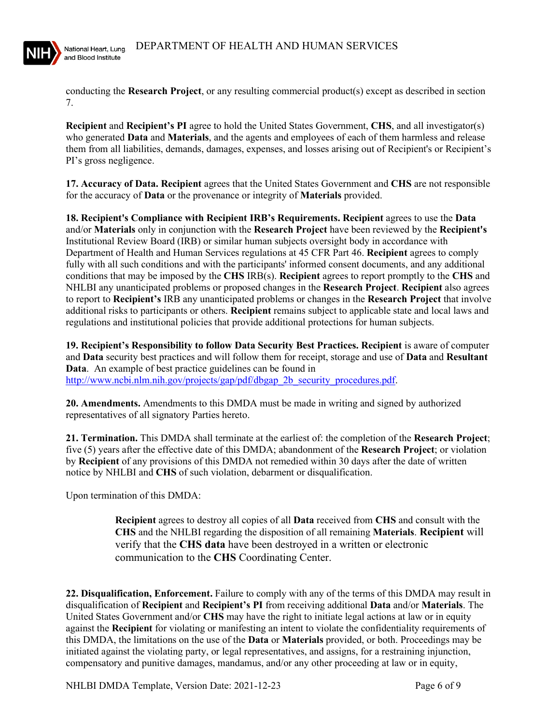

conducting the **Research Project**, or any resulting commercial product(s) except as described in section 7.

**Recipient** and **Recipient's PI** agree to hold the United States Government, **CHS**, and all investigator(s) who generated **Data** and **Materials**, and the agents and employees of each of them harmless and release them from all liabilities, demands, damages, expenses, and losses arising out of Recipient's or Recipient's PI's gross negligence.

**17. Accuracy of Data. Recipient** agrees that the United States Government and **CHS** are not responsible for the accuracy of **Data** or the provenance or integrity of **Materials** provided.

**18. Recipient's Compliance with Recipient IRB's Requirements. Recipient** agrees to use the **Data** and/or **Materials** only in conjunction with the **Research Project** have been reviewed by the **Recipient's** Institutional Review Board (IRB) or similar human subjects oversight body in accordance with Department of Health and Human Services regulations at 45 CFR Part 46. **Recipient** agrees to comply fully with all such conditions and with the participants' informed consent documents, and any additional conditions that may be imposed by the **CHS** IRB(s). **Recipient** agrees to report promptly to the **CHS** and NHLBI any unanticipated problems or proposed changes in the **Research Project**. **Recipient** also agrees to report to **Recipient's** IRB any unanticipated problems or changes in the **Research Project** that involve additional risks to participants or others. **Recipient** remains subject to applicable state and local laws and regulations and institutional policies that provide additional protections for human subjects.

**19. Recipient's Responsibility to follow Data Security Best Practices. Recipient** is aware of computer and **Data** security best practices and will follow them for receipt, storage and use of **Data** and **Resultant Data**. An example of best practice guidelines can be found in [http://www.ncbi.nlm.nih.gov/projects/gap/pdf/dbgap\\_2b\\_security\\_procedures.pdf.](http://www.ncbi.nlm.nih.gov/projects/gap/pdf/dbgap_2b_security_procedures.pdf)

**20. Amendments.** Amendments to this DMDA must be made in writing and signed by authorized representatives of all signatory Parties hereto.

**21. Termination.** This DMDA shall terminate at the earliest of: the completion of the **Research Project**; five (5) years after the effective date of this DMDA; abandonment of the **Research Project**; or violation by **Recipient** of any provisions of this DMDA not remedied within 30 days after the date of written notice by NHLBI and **CHS** of such violation, debarment or disqualification.

Upon termination of this DMDA:

**Recipient** agrees to destroy all copies of all **Data** received from **CHS** and consult with the **CHS** and the NHLBI regarding the disposition of all remaining **Materials**. **Recipient** will verify that the **CHS data** have been destroyed in a written or electronic communication to the **CHS** Coordinating Center.

**22. Disqualification, Enforcement.** Failure to comply with any of the terms of this DMDA may result in disqualification of **Recipient** and **Recipient's PI** from receiving additional **Data** and/or **Materials**. The United States Government and/or **CHS** may have the right to initiate legal actions at law or in equity against the **Recipient** for violating or manifesting an intent to violate the confidentiality requirements of this DMDA, the limitations on the use of the **Data** or **Materials** provided, or both. Proceedings may be initiated against the violating party, or legal representatives, and assigns, for a restraining injunction, compensatory and punitive damages, mandamus, and/or any other proceeding at law or in equity,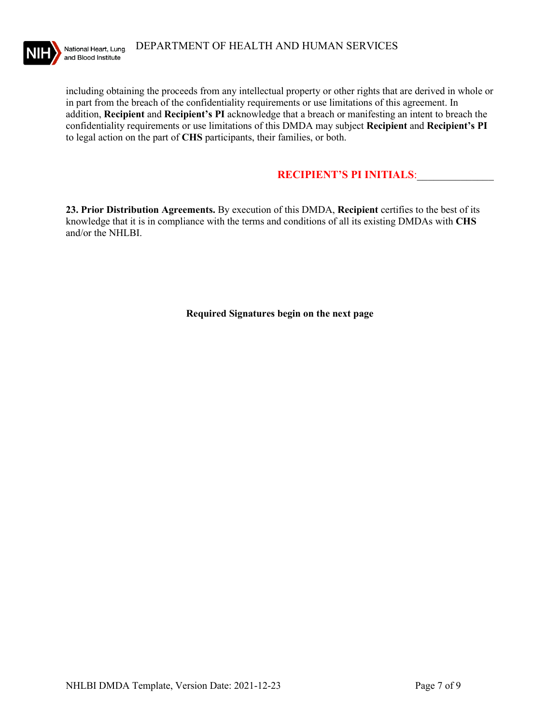

including obtaining the proceeds from any intellectual property or other rights that are derived in whole or in part from the breach of the confidentiality requirements or use limitations of this agreement. In addition, **Recipient** and **Recipient's PI** acknowledge that a breach or manifesting an intent to breach the confidentiality requirements or use limitations of this DMDA may subject **Recipient** and **Recipient's PI** to legal action on the part of **CHS** participants, their families, or both.

## **RECIPIENT'S PI INITIALS**:\_\_\_\_\_\_\_\_\_\_\_\_\_\_

**23. Prior Distribution Agreements.** By execution of this DMDA, **Recipient** certifies to the best of its knowledge that it is in compliance with the terms and conditions of all its existing DMDAs with **CHS** and/or the NHLBI.

**Required Signatures begin on the next page**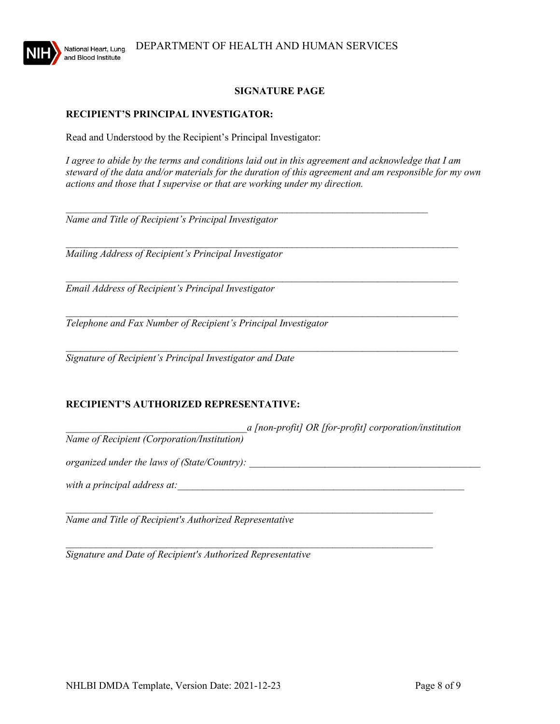

### **SIGNATURE PAGE**

### **RECIPIENT'S PRINCIPAL INVESTIGATOR:**

Read and Understood by the Recipient's Principal Investigator:

*I agree to abide by the terms and conditions laid out in this agreement and acknowledge that I am steward of the data and/or materials for the duration of this agreement and am responsible for my own actions and those that I supervise or that are working under my direction.* 

 $\mathcal{L}_\text{max}$  , and the contract of the contract of the contract of the contract of the contract of the contract of

*\_\_\_\_\_\_\_\_\_\_\_\_\_\_\_\_\_\_\_\_\_\_\_\_\_\_\_\_\_\_\_\_\_\_\_\_\_\_\_\_\_\_\_\_\_\_\_\_\_\_\_\_\_\_\_\_\_\_\_\_\_\_\_\_\_\_\_\_\_\_\_\_\_\_\_\_\_\_* 

*\_\_\_\_\_\_\_\_\_\_\_\_\_\_\_\_\_\_\_\_\_\_\_\_\_\_\_\_\_\_\_\_\_\_\_\_\_\_\_\_\_\_\_\_\_\_\_\_\_\_\_\_\_\_\_\_\_\_\_\_\_\_\_\_\_\_\_\_\_\_\_\_\_\_\_\_\_\_* 

*Name and Title of Recipient's Principal Investigator* 

*\_\_\_\_\_\_\_\_\_\_\_\_\_\_\_\_\_\_\_\_\_\_\_\_\_\_\_\_\_\_\_\_\_\_\_\_\_\_\_\_\_\_\_\_\_\_\_\_\_\_\_\_\_\_\_\_\_\_\_\_\_\_\_\_\_\_\_\_\_\_\_\_\_\_\_\_\_\_ Mailing Address of Recipient's Principal Investigator*

*Email Address of Recipient's Principal Investigator*

*Telephone and Fax Number of Recipient's Principal Investigator* 

*\_\_\_\_\_\_\_\_\_\_\_\_\_\_\_\_\_\_\_\_\_\_\_\_\_\_\_\_\_\_\_\_\_\_\_\_\_\_\_\_\_\_\_\_\_\_\_\_\_\_\_\_\_\_\_\_\_\_\_\_\_\_\_\_\_\_\_\_\_\_\_\_\_\_\_\_\_\_ Signature of Recipient's Principal Investigator and Date* 

## **RECIPIENT'S AUTHORIZED REPRESENTATIVE:**

*\_\_\_\_\_\_\_\_\_\_\_\_\_\_\_\_\_\_\_\_\_\_\_\_\_\_\_\_\_\_\_\_\_\_\_\_a [non-profit] OR [for-profit] corporation/institution Name of Recipient (Corporation/Institution)* 

 $\mathcal{L}_\text{max}$  , and the contribution of the contribution of the contribution of the contribution of the contribution of the contribution of the contribution of the contribution of the contribution of the contribution of t

\_\_\_\_\_\_\_\_\_\_\_\_\_\_\_\_\_\_\_\_\_\_\_\_\_\_\_\_\_\_\_\_\_\_\_\_\_\_\_\_\_\_\_\_\_\_\_\_\_\_\_\_\_\_\_\_\_\_\_\_\_\_\_\_\_\_\_\_\_\_\_\_\_

*organized under the laws of (State/Country):* 

*with a principal address at:*  $\frac{1}{2}$ 

*Name and Title of Recipient's Authorized Representative*

*Signature and Date of Recipient's Authorized Representative*